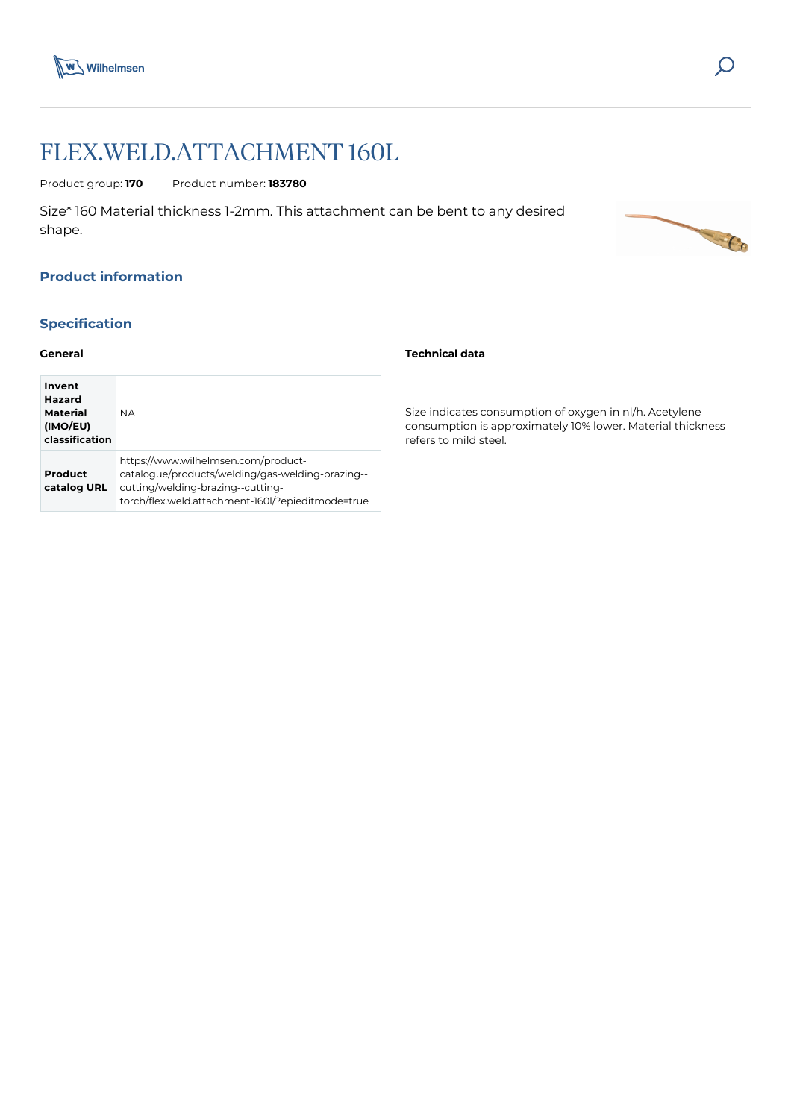



C.Co

# FLEX.WELD.ATTACHMENT 160L

Product group: **170** Product number: **183780**

Size\* 160 Material thickness 1-2mm. This attachment can be bent to any desired shape.

# **Product information**

# **Specification**

### **General**

| Invent<br>Hazard<br>Material<br>(IMO/EU)<br>classification | <b>NA</b>                                                                                                                                                                         |
|------------------------------------------------------------|-----------------------------------------------------------------------------------------------------------------------------------------------------------------------------------|
| Product<br>catalog URL                                     | https://www.wilhelmsen.com/product-<br>catalogue/products/welding/gas-welding-brazing--<br>cutting/welding-brazing--cutting-<br>torch/flex.weld.attachment-160l/?epieditmode=true |

### **Technical data**

Size indicates consumption of oxygen in nl/h. Acetylene consumption is approximately 10% lower. Material thickness refers to mild steel.